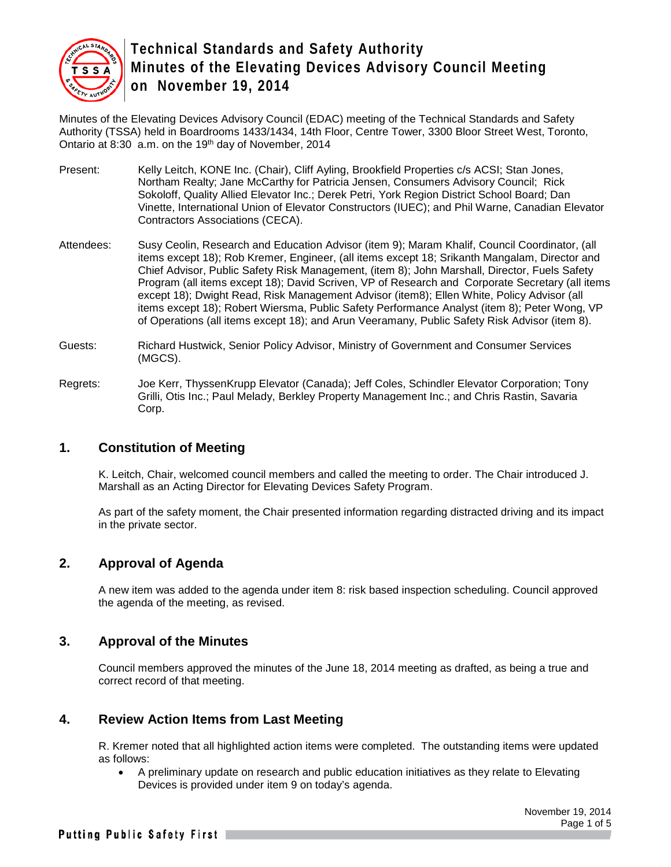

Minutes of the Elevating Devices Advisory Council (EDAC) meeting of the Technical Standards and Safety Authority (TSSA) held in Boardrooms 1433/1434, 14th Floor, Centre Tower, 3300 Bloor Street West, Toronto, Ontario at 8:30 a.m. on the 19<sup>th</sup> day of November, 2014

- Present: Kelly Leitch, KONE Inc. (Chair), Cliff Ayling, Brookfield Properties c/s ACSI; Stan Jones, Northam Realty; Jane McCarthy for Patricia Jensen, Consumers Advisory Council; Rick Sokoloff, Quality Allied Elevator Inc.; Derek Petri, York Region District School Board; Dan Vinette, International Union of Elevator Constructors (IUEC); and Phil Warne, Canadian Elevator Contractors Associations (CECA).
- Attendees: Susy Ceolin, Research and Education Advisor (item 9); Maram Khalif, Council Coordinator, (all items except 18); Rob Kremer, Engineer, (all items except 18; Srikanth Mangalam, Director and Chief Advisor, Public Safety Risk Management, (item 8); John Marshall, Director, Fuels Safety Program (all items except 18); David Scriven, VP of Research and Corporate Secretary (all items except 18); Dwight Read, Risk Management Advisor (item8); Ellen White, Policy Advisor (all items except 18); Robert Wiersma, Public Safety Performance Analyst (item 8); Peter Wong, VP of Operations (all items except 18); and Arun Veeramany, Public Safety Risk Advisor (item 8).
- Guests: Richard Hustwick, Senior Policy Advisor, Ministry of Government and Consumer Services (MGCS).
- Regrets: Joe Kerr, ThyssenKrupp Elevator (Canada); Jeff Coles, Schindler Elevator Corporation; Tony Grilli, Otis Inc.; Paul Melady, Berkley Property Management Inc.; and Chris Rastin, Savaria Corp.

### **1. Constitution of Meeting**

K. Leitch, Chair, welcomed council members and called the meeting to order. The Chair introduced J. Marshall as an Acting Director for Elevating Devices Safety Program.

As part of the safety moment, the Chair presented information regarding distracted driving and its impact in the private sector.

# **2. Approval of Agenda**

A new item was added to the agenda under item 8: risk based inspection scheduling. Council approved the agenda of the meeting, as revised.

### **3. Approval of the Minutes**

Council members approved the minutes of the June 18, 2014 meeting as drafted, as being a true and correct record of that meeting.

### **4. Review Action Items from Last Meeting**

R. Kremer noted that all highlighted action items were completed. The outstanding items were updated as follows:

• A preliminary update on research and public education initiatives as they relate to Elevating Devices is provided under item 9 on today's agenda.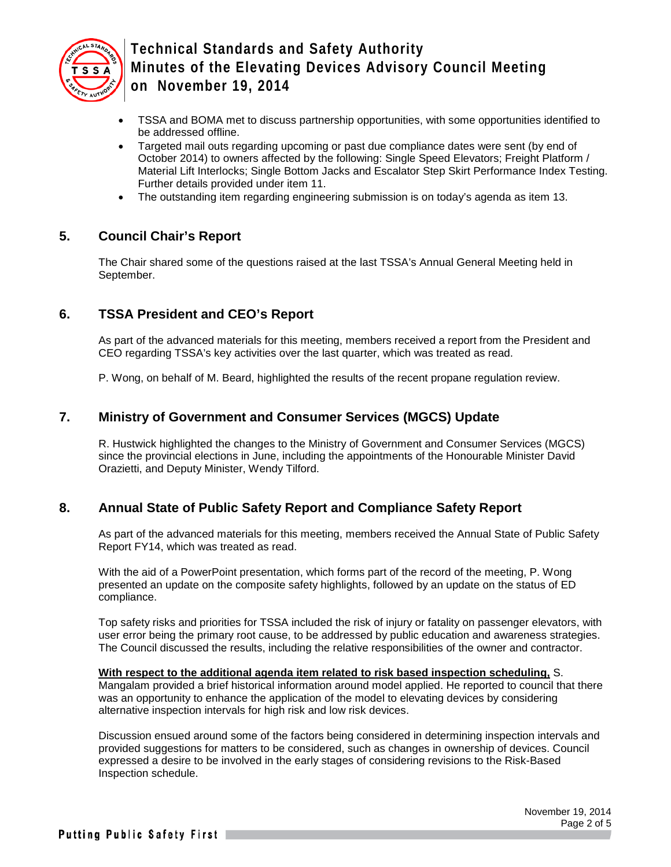

- TSSA and BOMA met to discuss partnership opportunities, with some opportunities identified to be addressed offline.
- Targeted mail outs regarding upcoming or past due compliance dates were sent (by end of October 2014) to owners affected by the following: Single Speed Elevators; Freight Platform / Material Lift Interlocks; Single Bottom Jacks and Escalator Step Skirt Performance Index Testing. Further details provided under item 11.
- The outstanding item regarding engineering submission is on today's agenda as item 13.

### **5. Council Chair's Report**

The Chair shared some of the questions raised at the last TSSA's Annual General Meeting held in September.

# **6. TSSA President and CEO's Report**

As part of the advanced materials for this meeting, members received a report from the President and CEO regarding TSSA's key activities over the last quarter, which was treated as read.

P. Wong, on behalf of M. Beard, highlighted the results of the recent propane regulation review.

### **7. Ministry of Government and Consumer Services (MGCS) Update**

R. Hustwick highlighted the changes to the Ministry of Government and Consumer Services (MGCS) since the provincial elections in June, including the appointments of the Honourable Minister David Orazietti, and Deputy Minister, Wendy Tilford.

### **8. Annual State of Public Safety Report and Compliance Safety Report**

As part of the advanced materials for this meeting, members received the Annual State of Public Safety Report FY14, which was treated as read.

With the aid of a PowerPoint presentation, which forms part of the record of the meeting, P. Wong presented an update on the composite safety highlights, followed by an update on the status of ED compliance.

Top safety risks and priorities for TSSA included the risk of injury or fatality on passenger elevators, with user error being the primary root cause, to be addressed by public education and awareness strategies. The Council discussed the results, including the relative responsibilities of the owner and contractor.

**With respect to the additional agenda item related to risk based inspection scheduling,** S. Mangalam provided a brief historical information around model applied. He reported to council that there was an opportunity to enhance the application of the model to elevating devices by considering alternative inspection intervals for high risk and low risk devices.

Discussion ensued around some of the factors being considered in determining inspection intervals and provided suggestions for matters to be considered, such as changes in ownership of devices. Council expressed a desire to be involved in the early stages of considering revisions to the Risk-Based Inspection schedule.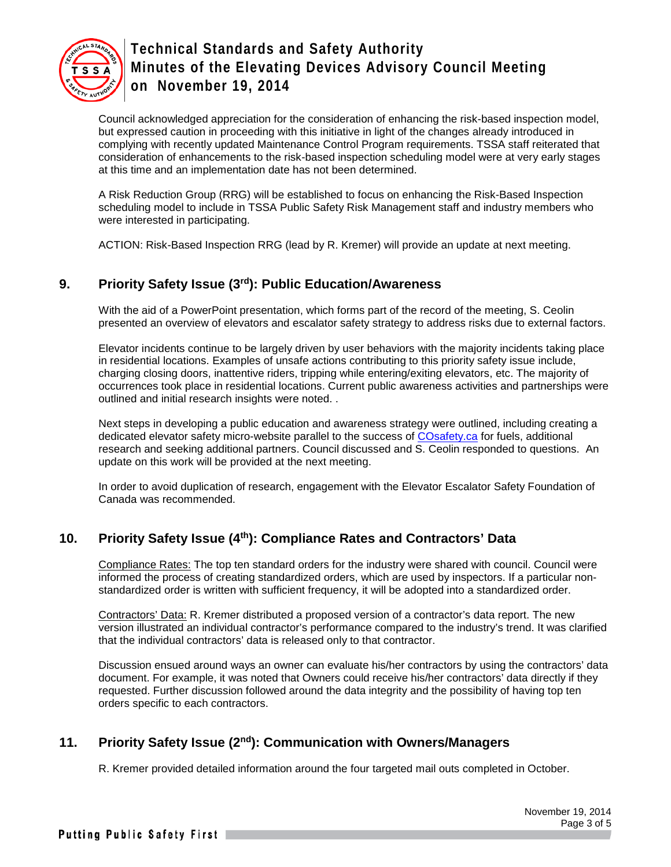

Council acknowledged appreciation for the consideration of enhancing the risk-based inspection model, but expressed caution in proceeding with this initiative in light of the changes already introduced in complying with recently updated Maintenance Control Program requirements. TSSA staff reiterated that consideration of enhancements to the risk-based inspection scheduling model were at very early stages at this time and an implementation date has not been determined.

A Risk Reduction Group (RRG) will be established to focus on enhancing the Risk-Based Inspection scheduling model to include in TSSA Public Safety Risk Management staff and industry members who were interested in participating.

ACTION: Risk-Based Inspection RRG (lead by R. Kremer) will provide an update at next meeting.

# **9. Priority Safety Issue (3rd): Public Education/Awareness**

With the aid of a PowerPoint presentation, which forms part of the record of the meeting, S. Ceolin presented an overview of elevators and escalator safety strategy to address risks due to external factors.

Elevator incidents continue to be largely driven by user behaviors with the majority incidents taking place in residential locations. Examples of unsafe actions contributing to this priority safety issue include, charging closing doors, inattentive riders, tripping while entering/exiting elevators, etc. The majority of occurrences took place in residential locations. Current public awareness activities and partnerships were outlined and initial research insights were noted. .

Next steps in developing a public education and awareness strategy were outlined, including creating a dedicated elevator safety micro-website parallel to the success of COsafety.ca for fuels, additional research and seeking additional partners. Council discussed and S. Ceolin responded to questions. An update on this work will be provided at the next meeting.

In order to avoid duplication of research, engagement with the Elevator Escalator Safety Foundation of Canada was recommended.

# **10. Priority Safety Issue (4th): Compliance Rates and Contractors' Data**

Compliance Rates: The top ten standard orders for the industry were shared with council. Council were informed the process of creating standardized orders, which are used by inspectors. If a particular nonstandardized order is written with sufficient frequency, it will be adopted into a standardized order.

Contractors' Data: R. Kremer distributed a proposed version of a contractor's data report. The new version illustrated an individual contractor's performance compared to the industry's trend. It was clarified that the individual contractors' data is released only to that contractor.

Discussion ensued around ways an owner can evaluate his/her contractors by using the contractors' data document. For example, it was noted that Owners could receive his/her contractors' data directly if they requested. Further discussion followed around the data integrity and the possibility of having top ten orders specific to each contractors.

# **11. Priority Safety Issue (2nd): Communication with Owners/Managers**

R. Kremer provided detailed information around the four targeted mail outs completed in October.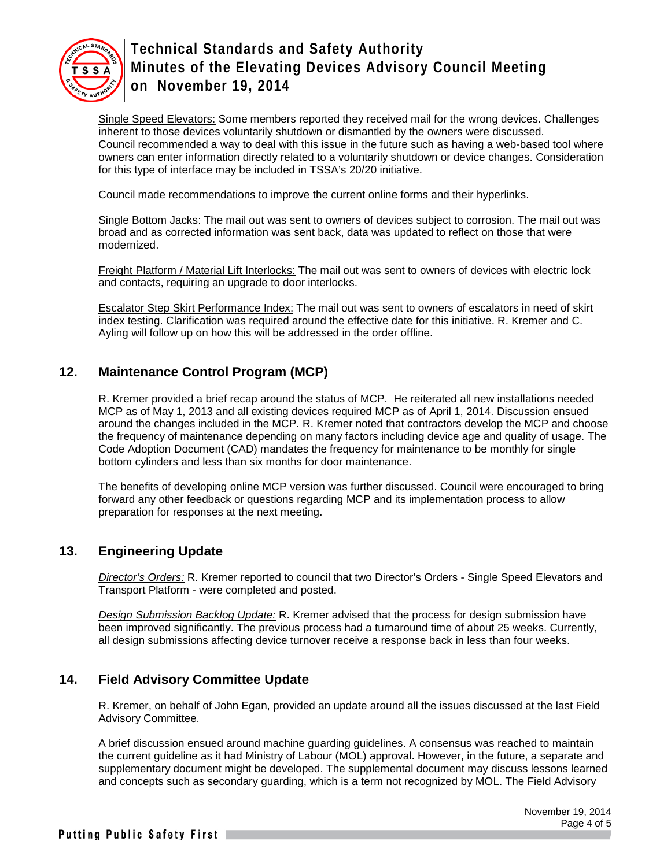

Single Speed Elevators: Some members reported they received mail for the wrong devices. Challenges inherent to those devices voluntarily shutdown or dismantled by the owners were discussed. Council recommended a way to deal with this issue in the future such as having a web-based tool where owners can enter information directly related to a voluntarily shutdown or device changes. Consideration for this type of interface may be included in TSSA's 20/20 initiative.

Council made recommendations to improve the current online forms and their hyperlinks.

Single Bottom Jacks: The mail out was sent to owners of devices subject to corrosion. The mail out was broad and as corrected information was sent back, data was updated to reflect on those that were modernized.

Freight Platform / Material Lift Interlocks: The mail out was sent to owners of devices with electric lock and contacts, requiring an upgrade to door interlocks.

Escalator Step Skirt Performance Index: The mail out was sent to owners of escalators in need of skirt index testing. Clarification was required around the effective date for this initiative. R. Kremer and C. Ayling will follow up on how this will be addressed in the order offline.

# **12. Maintenance Control Program (MCP)**

R. Kremer provided a brief recap around the status of MCP. He reiterated all new installations needed MCP as of May 1, 2013 and all existing devices required MCP as of April 1, 2014. Discussion ensued around the changes included in the MCP. R. Kremer noted that contractors develop the MCP and choose the frequency of maintenance depending on many factors including device age and quality of usage. The Code Adoption Document (CAD) mandates the frequency for maintenance to be monthly for single bottom cylinders and less than six months for door maintenance.

The benefits of developing online MCP version was further discussed. Council were encouraged to bring forward any other feedback or questions regarding MCP and its implementation process to allow preparation for responses at the next meeting.

# **13. Engineering Update**

*Director's Orders:* R. Kremer reported to council that two Director's Orders - Single Speed Elevators and Transport Platform - were completed and posted.

*Design Submission Backlog Update:* R. Kremer advised that the process for design submission have been improved significantly. The previous process had a turnaround time of about 25 weeks. Currently, all design submissions affecting device turnover receive a response back in less than four weeks.

# **14. Field Advisory Committee Update**

R. Kremer, on behalf of John Egan, provided an update around all the issues discussed at the last Field Advisory Committee.

A brief discussion ensued around machine guarding guidelines. A consensus was reached to maintain the current guideline as it had Ministry of Labour (MOL) approval. However, in the future, a separate and supplementary document might be developed. The supplemental document may discuss lessons learned and concepts such as secondary guarding, which is a term not recognized by MOL. The Field Advisory